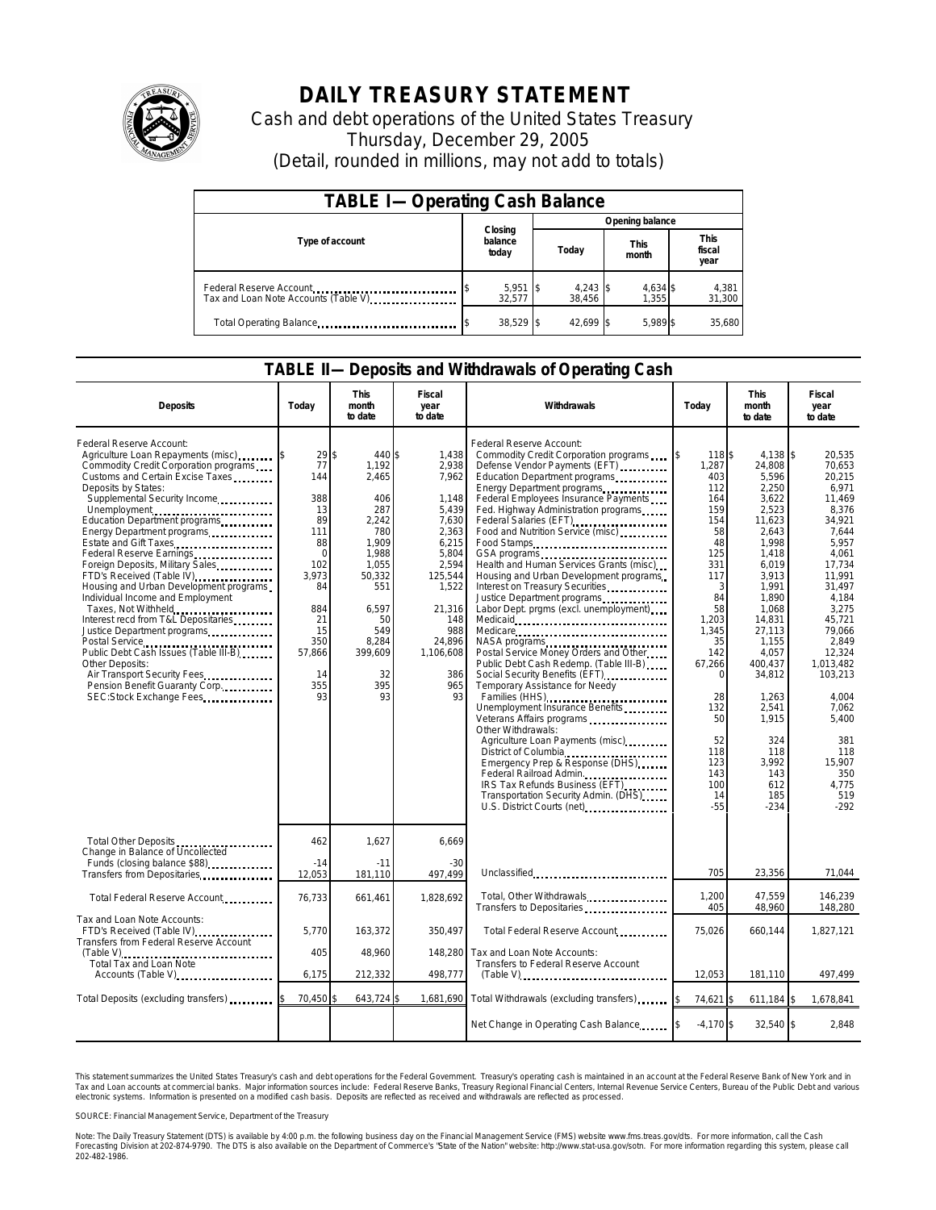

## **DAILY TREASURY STATEMENT**

Cash and debt operations of the United States Treasury Thursday, December 29, 2005 (Detail, rounded in millions, may not add to totals)

| <b>TABLE I-Operating Cash Balance</b>                           |                             |                      |                      |                               |  |  |  |
|-----------------------------------------------------------------|-----------------------------|----------------------|----------------------|-------------------------------|--|--|--|
|                                                                 |                             | Opening balance      |                      |                               |  |  |  |
| Type of account                                                 | Closing<br>balance<br>today | Today                | <b>This</b><br>month | <b>This</b><br>fiscal<br>year |  |  |  |
| Federal Reserve Account<br>Tax and Loan Note Accounts (Table V) | $5,951$ \$<br>32.577        | $4,243$ \$<br>38.456 | 4,634 \$<br>1.355    | 4,381<br>31,300               |  |  |  |
| Total Operating Balance                                         | 38,529 \$                   | 42.699 \$            | 5.989 \$             | 35.680                        |  |  |  |

## **TABLE II—Deposits and Withdrawals of Operating Cash**

| <b>Deposits</b>                                                                                                                                                                                                                                                                                                                                                                                                                                                                                                                                                                                                                                                                                                                            | Today                                                                                                                                    | This<br>month<br>to date                                                                                                                                              | Fiscal<br>year<br>to date                                                                                                                                                     | <b>Withdrawals</b>                                                                                                                                                                                                                                                                                                                                                                                                                                                                                                                                                                                                                                                                                                                                                                                                                                                                                                                                                                                                                                                                                                                                                                                                                 | Today                                                                                                                                                                                                                        | <b>This</b><br>month<br>to date                                                                                                                                                                                                                                                      | Fiscal<br>year<br>to date                                                                                                                                                                                                                                                                      |
|--------------------------------------------------------------------------------------------------------------------------------------------------------------------------------------------------------------------------------------------------------------------------------------------------------------------------------------------------------------------------------------------------------------------------------------------------------------------------------------------------------------------------------------------------------------------------------------------------------------------------------------------------------------------------------------------------------------------------------------------|------------------------------------------------------------------------------------------------------------------------------------------|-----------------------------------------------------------------------------------------------------------------------------------------------------------------------|-------------------------------------------------------------------------------------------------------------------------------------------------------------------------------|------------------------------------------------------------------------------------------------------------------------------------------------------------------------------------------------------------------------------------------------------------------------------------------------------------------------------------------------------------------------------------------------------------------------------------------------------------------------------------------------------------------------------------------------------------------------------------------------------------------------------------------------------------------------------------------------------------------------------------------------------------------------------------------------------------------------------------------------------------------------------------------------------------------------------------------------------------------------------------------------------------------------------------------------------------------------------------------------------------------------------------------------------------------------------------------------------------------------------------|------------------------------------------------------------------------------------------------------------------------------------------------------------------------------------------------------------------------------|--------------------------------------------------------------------------------------------------------------------------------------------------------------------------------------------------------------------------------------------------------------------------------------|------------------------------------------------------------------------------------------------------------------------------------------------------------------------------------------------------------------------------------------------------------------------------------------------|
| Federal Reserve Account:<br>Agriculture Loan Repayments (misc)<br>Commodity Credit Corporation programs<br>Customs and Certain Excise Taxes<br>Deposits by States:<br>Supplemental Security Income<br>Unemployment<br>Education Department programs<br>Energy Department programs<br>Estate and Gift Taxes<br>Federal Reserve Earnings<br>Foreign Deposits, Military Sales<br>FTD's Received (Table IV)<br>Housing and Urban Development programs<br>Individual Income and Employment<br>Taxes, Not Withheld<br>Interest recd from T&L Depositaries<br>Justice Department programs<br>Public Debt Cash Issues (Table III-B)<br>Other Deposits:<br>Air Transport Security Fees<br>Pension Benefit Guaranty Corp.<br>SEC:Stock Exchange Fees | 29<br>77<br>144<br>388<br>13<br>89<br>111<br>88<br>$\Omega$<br>102<br>3,973<br>84<br>884<br>21<br>15<br>350<br>57,866<br>14<br>355<br>93 | \$<br>440 \$<br>1,192<br>2,465<br>406<br>287<br>2,242<br>780<br>1.909<br>1,988<br>1,055<br>50,332<br>551<br>6,597<br>50<br>549<br>8,284<br>399,609<br>32<br>395<br>93 | 1,438<br>2,938<br>7,962<br>1,148<br>5,439<br>7,630<br>2,363<br>6,215<br>5,804<br>2,594<br>125,544<br>1,522<br>21,316<br>148<br>988<br>24,896<br>1,106,608<br>386<br>965<br>93 | Federal Reserve Account:<br>Commodity Credit Corporation programs<br>Defense Vendor Payments (EFT)<br>Education Department programs<br>Energy Department programs<br>Federal Employees Insurance Payments<br>Fed. Highway Administration programs<br>Federal Salaries (EFT)<br>1999 - Patricia Carlo Barbara, actrice Carlo Barbara, actrice Carlo Barbara<br>1999 - Patricia Carlo Barbara, actrice Carlo Barbara<br>1999 - Patricia Carlo Barbara<br>1999 - Patricia Carlo Barbara<br>1999<br>Food and Nutrition Service (misc)<br>Food Stamps<br>Health and Human Services Grants (misc)<br>Housing and Urban Development programs<br>Interest on Treasury Securities<br>Justice Department programs<br>Labor Dept. prgms (excl. unemployment).<br>NASA programs<br>Postal Service Money Orders and Other<br>Public Debt Cash Redemp. (Table III-B)<br>Temporary Assistance for Needy<br>Families (HHS)<br>Unemployment Insurance Benefits<br>Veterans Affairs programs<br>Other Withdrawals:<br>Agriculture Loan Payments (misc)<br>District of Columbia<br>Emergency Prep & Response (DHS)<br>Federal Railroad Admin.<br>IRS Tax Refunds Business (EFT)<br>Transportation Security Admin. (DHS)<br>U.S. District Courts (net) | 118\$<br>1,287<br>403<br>112<br>164<br>159<br>154<br>58<br>48<br>125<br>331<br>117<br>3<br>84<br>58<br>1,203<br>1,345<br>35<br>142<br>67,266<br>$\Omega$<br>28<br>132<br>50<br>52<br>118<br>123<br>143<br>100<br>14<br>$-55$ | 4,138 \$<br>24,808<br>5,596<br>2,250<br>3,622<br>2,523<br>11,623<br>2,643<br>1,998<br>1,418<br>6,019<br>3,913<br>1,991<br>1,890<br>1,068<br>14,831<br>27.113<br>1,155<br>4,057<br>400,437<br>34,812<br>1,263<br>2,541<br>1,915<br>324<br>118<br>3.992<br>143<br>612<br>185<br>$-234$ | 20,535<br>70.653<br>20,215<br>6,971<br>11.469<br>8,376<br>34,921<br>7,644<br>5.957<br>4.061<br>17,734<br>11.991<br>31.497<br>4,184<br>3,275<br>45,721<br>79.066<br>2,849<br>12,324<br>1.013.482<br>103,213<br>4,004<br>7,062<br>5.400<br>381<br>118<br>15,907<br>350<br>4.775<br>519<br>$-292$ |
| Total Other Deposits<br>Change in Balance of Uncollected<br>Funds (closing balance \$88).                                                                                                                                                                                                                                                                                                                                                                                                                                                                                                                                                                                                                                                  | 462<br>$-14$                                                                                                                             | 1,627<br>$-11$                                                                                                                                                        | 6.669<br>$-30$                                                                                                                                                                |                                                                                                                                                                                                                                                                                                                                                                                                                                                                                                                                                                                                                                                                                                                                                                                                                                                                                                                                                                                                                                                                                                                                                                                                                                    | 705                                                                                                                                                                                                                          | 23,356                                                                                                                                                                                                                                                                               | 71,044                                                                                                                                                                                                                                                                                         |
| Transfers from Depositaries<br>Total Federal Reserve Account                                                                                                                                                                                                                                                                                                                                                                                                                                                                                                                                                                                                                                                                               | 12,053<br>76,733                                                                                                                         | 181,110<br>661,461                                                                                                                                                    | 497,499<br>1,828,692                                                                                                                                                          | Unclassified<br>Total, Other Withdrawals                                                                                                                                                                                                                                                                                                                                                                                                                                                                                                                                                                                                                                                                                                                                                                                                                                                                                                                                                                                                                                                                                                                                                                                           | 1,200<br>405                                                                                                                                                                                                                 | 47,559<br>48,960                                                                                                                                                                                                                                                                     | 146,239<br>148,280                                                                                                                                                                                                                                                                             |
| Tax and Loan Note Accounts:<br>FTD's Received (Table IV)<br>Transfers from Federal Reserve Account                                                                                                                                                                                                                                                                                                                                                                                                                                                                                                                                                                                                                                         | 5.770<br>405                                                                                                                             | 163,372<br>48.960                                                                                                                                                     | 350.497<br>148,280                                                                                                                                                            | Transfers to Depositaries<br>Total Federal Reserve Account<br>Tax and Loan Note Accounts:                                                                                                                                                                                                                                                                                                                                                                                                                                                                                                                                                                                                                                                                                                                                                                                                                                                                                                                                                                                                                                                                                                                                          | 75.026                                                                                                                                                                                                                       | 660,144                                                                                                                                                                                                                                                                              | 1,827,121                                                                                                                                                                                                                                                                                      |
| Total Tax and Loan Note<br>Accounts (Table V)                                                                                                                                                                                                                                                                                                                                                                                                                                                                                                                                                                                                                                                                                              | 6,175                                                                                                                                    | 212,332                                                                                                                                                               | 498,777                                                                                                                                                                       | Transfers to Federal Reserve Account<br>$(Table V)$                                                                                                                                                                                                                                                                                                                                                                                                                                                                                                                                                                                                                                                                                                                                                                                                                                                                                                                                                                                                                                                                                                                                                                                | 12.053                                                                                                                                                                                                                       | 181,110                                                                                                                                                                                                                                                                              | 497.499                                                                                                                                                                                                                                                                                        |
| Total Deposits (excluding transfers) [100]                                                                                                                                                                                                                                                                                                                                                                                                                                                                                                                                                                                                                                                                                                 | 70,450                                                                                                                                   | 643,724                                                                                                                                                               | 1,681,690                                                                                                                                                                     | Total Withdrawals (excluding transfers)                                                                                                                                                                                                                                                                                                                                                                                                                                                                                                                                                                                                                                                                                                                                                                                                                                                                                                                                                                                                                                                                                                                                                                                            | 74,621 \$                                                                                                                                                                                                                    | 611,184 \$                                                                                                                                                                                                                                                                           | 1,678,841                                                                                                                                                                                                                                                                                      |
|                                                                                                                                                                                                                                                                                                                                                                                                                                                                                                                                                                                                                                                                                                                                            |                                                                                                                                          |                                                                                                                                                                       |                                                                                                                                                                               | Net Change in Operating Cash Balance                                                                                                                                                                                                                                                                                                                                                                                                                                                                                                                                                                                                                                                                                                                                                                                                                                                                                                                                                                                                                                                                                                                                                                                               | $-4.170S$                                                                                                                                                                                                                    | 32,540 \$                                                                                                                                                                                                                                                                            | 2.848                                                                                                                                                                                                                                                                                          |

This statement summarizes the United States Treasury's cash and debt operations for the Federal Government.<br>Tax and Loan accounts at commercial banks. Major information sources include: Federal Reserve Banks, Trea<br>electr narizes the United States Treasury's cash and debt operations for the Federal Government. Treasury's operating cash is maintained in an account at the Federal Reserve Bank of New York and in<br>ints at commercial banks. Major

SOURCE: Financial Management Service, Department of the Treasury

Note: The Daily Treasury Statement (DTS) is available by 4:00 p.m. the following business day on the Financial Management Service (FMS) website www.fms.treas.gov/dts. For more information, call the Cash<br>Forecasting Divisio 202-482-1986.